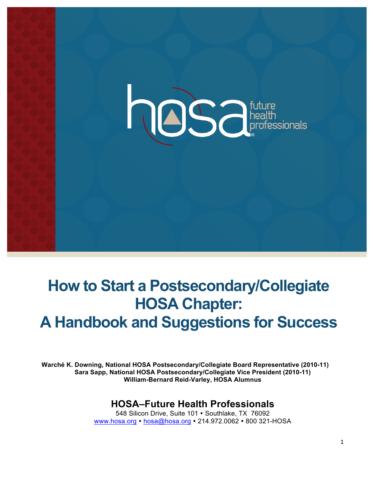

# **How to Start a Postsecondary/Collegiate HOSA Chapter: A Handbook and Suggestions for Success**

**Warché K. Downing, National HOSA Postsecondary/Collegiate Board Representative (2010-11) Sara Sapp, National HOSA Postsecondary/Collegiate Vice President (2010-11) William-Bernard Reid-Varley, HOSA Alumnus**

## **HOSA–Future Health Professionals**

548 Silicon Drive, Suite 101 · Southlake, TX 76092 www.hosa.org • hosa@hosa.org • 214.972.0062 • 800 321-HOSA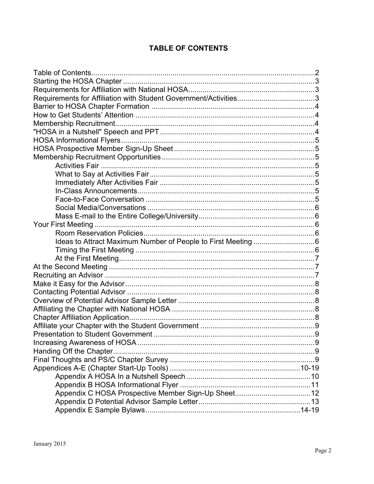## **TABLE OF CONTENTS**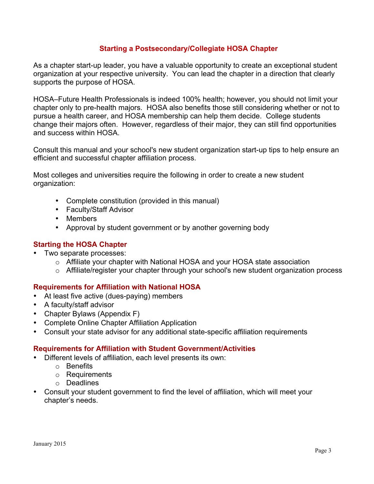## **Starting a Postsecondary/Collegiate HOSA Chapter**

As a chapter start-up leader, you have a valuable opportunity to create an exceptional student organization at your respective university. You can lead the chapter in a direction that clearly supports the purpose of HOSA.

HOSA–Future Health Professionals is indeed 100% health; however, you should not limit your chapter only to pre-health majors. HOSA also benefits those still considering whether or not to pursue a health career, and HOSA membership can help them decide. College students change their majors often. However, regardless of their major, they can still find opportunities and success within HOSA.

Consult this manual and your school's new student organization start-up tips to help ensure an efficient and successful chapter affiliation process.

Most colleges and universities require the following in order to create a new student organization:

- Complete constitution (provided in this manual)
- Faculty/Staff Advisor
- Members
- Approval by student government or by another governing body

## **Starting the HOSA Chapter**

- Two separate processes:
	- o Affiliate your chapter with National HOSA and your HOSA state association
	- $\circ$  Affiliate/register your chapter through your school's new student organization process

## **Requirements for Affiliation with National HOSA**

- At least five active (dues-paying) members
- A faculty/staff advisor
- Chapter Bylaws (Appendix F)
- Complete Online Chapter Affiliation Application
- Consult your state advisor for any additional state-specific affiliation requirements

## **Requirements for Affiliation with Student Government/Activities**

- Different levels of affiliation, each level presents its own:
	- o Benefits
	- o Requirements
	- o Deadlines
- Consult your student government to find the level of affiliation, which will meet your chapter's needs.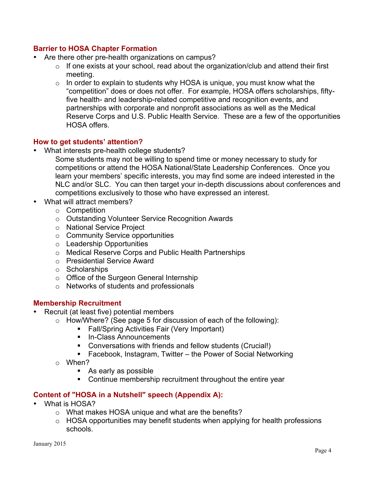## **Barrier to HOSA Chapter Formation**

- Are there other pre-health organizations on campus?
	- $\circ$  If one exists at your school, read about the organization/club and attend their first meeting.
	- $\circ$  In order to explain to students why HOSA is unique, you must know what the "competition" does or does not offer. For example, HOSA offers scholarships, fiftyfive health- and leadership-related competitive and recognition events, and partnerships with corporate and nonprofit associations as well as the Medical Reserve Corps and U.S. Public Health Service. These are a few of the opportunities HOSA offers.

## **How to get students' attention?**

- What interests pre-health college students?
	- Some students may not be willing to spend time or money necessary to study for competitions or attend the HOSA National/State Leadership Conferences. Once you learn your members' specific interests, you may find some are indeed interested in the NLC and/or SLC. You can then target your in-depth discussions about conferences and competitions exclusively to those who have expressed an interest.
- What will attract members?
	- o Competition
	- o Outstanding Volunteer Service Recognition Awards
	- o National Service Project
	- o Community Service opportunities
	- o Leadership Opportunities
	- o Medical Reserve Corps and Public Health Partnerships
	- o Presidential Service Award
	- o Scholarships
	- o Office of the Surgeon General Internship
	- o Networks of students and professionals

## **Membership Recruitment**

- Recruit (at least five) potential members
	- $\circ$  How/Where? (See page 5 for discussion of each of the following):
		- **Fall/Spring Activities Fair (Very Important)**
		- **In-Class Announcements**
		- Conversations with friends and fellow students (Crucial!)
		- Facebook, Instagram, Twitter the Power of Social Networking
	- o When?
		- As early as possible
		- Continue membership recruitment throughout the entire year

## **Content of "HOSA in a Nutshell" speech (Appendix A):**

- What is HOSA?
	- o What makes HOSA unique and what are the benefits?
	- o HOSA opportunities may benefit students when applying for health professions schools.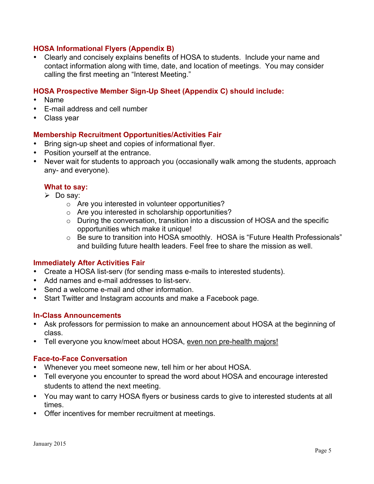## **HOSA Informational Flyers (Appendix B)**

• Clearly and concisely explains benefits of HOSA to students. Include your name and contact information along with time, date, and location of meetings. You may consider calling the first meeting an "Interest Meeting."

## **HOSA Prospective Member Sign-Up Sheet (Appendix C) should include:**

- Name
- E-mail address and cell number
- Class year

## **Membership Recruitment Opportunities/Activities Fair**

- Bring sign-up sheet and copies of informational flyer.
- Position yourself at the entrance.
- Never wait for students to approach you (occasionally walk among the students, approach any- and everyone).

## **What to say:**

- $\triangleright$  Do say:
	- o Are you interested in volunteer opportunities?
	- o Are you interested in scholarship opportunities?
	- o During the conversation, transition into a discussion of HOSA and the specific opportunities which make it unique!
	- o Be sure to transition into HOSA smoothly. HOSA is "Future Health Professionals" and building future health leaders. Feel free to share the mission as well.

## **Immediately After Activities Fair**

- Create a HOSA list-serv (for sending mass e-mails to interested students).
- Add names and e-mail addresses to list-serv.
- Send a welcome e-mail and other information.
- Start Twitter and Instagram accounts and make a Facebook page.

## **In-Class Announcements**

- Ask professors for permission to make an announcement about HOSA at the beginning of class.
- Tell everyone you know/meet about HOSA, even non pre-health majors!

## **Face-to-Face Conversation**

- Whenever you meet someone new, tell him or her about HOSA.
- Tell everyone you encounter to spread the word about HOSA and encourage interested students to attend the next meeting.
- You may want to carry HOSA flyers or business cards to give to interested students at all times.
- Offer incentives for member recruitment at meetings.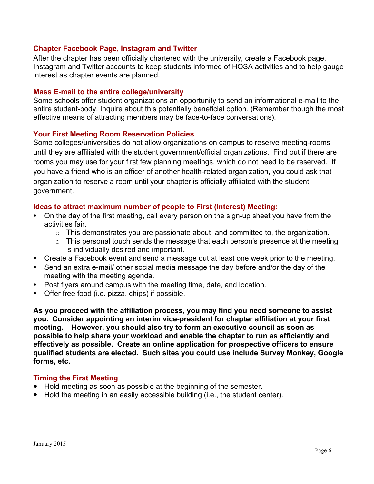## **Chapter Facebook Page, Instagram and Twitter**

After the chapter has been officially chartered with the university, create a Facebook page, Instagram and Twitter accounts to keep students informed of HOSA activities and to help gauge interest as chapter events are planned.

## **Mass E-mail to the entire college/university**

Some schools offer student organizations an opportunity to send an informational e-mail to the entire student-body. Inquire about this potentially beneficial option. (Remember though the most effective means of attracting members may be face-to-face conversations).

## **Your First Meeting Room Reservation Policies**

Some colleges/universities do not allow organizations on campus to reserve meeting-rooms until they are affiliated with the student government/official organizations. Find out if there are rooms you may use for your first few planning meetings, which do not need to be reserved. If you have a friend who is an officer of another health-related organization, you could ask that organization to reserve a room until your chapter is officially affiliated with the student government.

## **Ideas to attract maximum number of people to First (Interest) Meeting:**

- On the day of the first meeting, call every person on the sign-up sheet you have from the activities fair.
	- $\circ$  This demonstrates you are passionate about, and committed to, the organization.
	- $\circ$  This personal touch sends the message that each person's presence at the meeting is individually desired and important.
- Create a Facebook event and send a message out at least one week prior to the meeting.
- Send an extra e-mail/ other social media message the day before and/or the day of the meeting with the meeting agenda.
- Post flyers around campus with the meeting time, date, and location.
- Offer free food (i.e. pizza, chips) if possible.

**As you proceed with the affiliation process, you may find you need someone to assist you. Consider appointing an interim vice-president for chapter affiliation at your first meeting. However, you should also try to form an executive council as soon as possible to help share your workload and enable the chapter to run as efficiently and effectively as possible. Create an online application for prospective officers to ensure qualified students are elected. Such sites you could use include Survey Monkey, Google forms, etc.** 

## **Timing the First Meeting**

- Hold meeting as soon as possible at the beginning of the semester.
- Hold the meeting in an easily accessible building (i.e., the student center).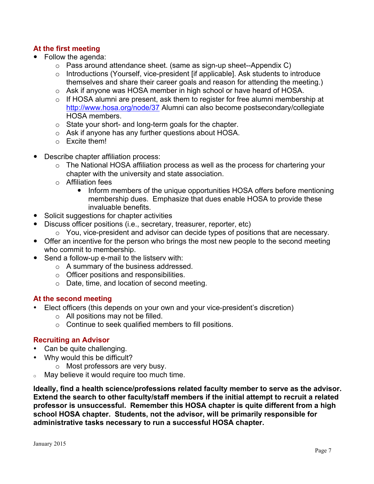## **At the first meeting**

- Follow the agenda:
	- $\circ$  Pass around attendance sheet. (same as sign-up sheet--Appendix C)
	- o Introductions (Yourself, vice-president [if applicable]. Ask students to introduce themselves and share their career goals and reason for attending the meeting.)
	- o Ask if anyone was HOSA member in high school or have heard of HOSA.
	- o If HOSA alumni are present, ask them to register for free alumni membership at http://www.hosa.org/node/37 Alumni can also become postsecondary/collegiate HOSA members.
	- o State your short- and long-term goals for the chapter.
	- o Ask if anyone has any further questions about HOSA.
	- o Excite them!
- Describe chapter affiliation process:
	- o The National HOSA affiliation process as well as the process for chartering your chapter with the university and state association.
	- o Affiliation fees
		- Inform members of the unique opportunities HOSA offers before mentioning membership dues. Emphasize that dues enable HOSA to provide these invaluable benefits.
- Solicit suggestions for chapter activities
- Discuss officer positions (i.e., secretary, treasurer, reporter, etc)
	- o You, vice-president and advisor can decide types of positions that are necessary.
- Offer an incentive for the person who brings the most new people to the second meeting who commit to membership.
- Send a follow-up e-mail to the listsery with:
	- o A summary of the business addressed.
	- o Officer positions and responsibilities.
	- o Date, time, and location of second meeting.

## **At the second meeting**

- Elect officers (this depends on your own and your vice-president's discretion)
	- $\circ$  All positions may not be filled.
	- o Continue to seek qualified members to fill positions.

## **Recruiting an Advisor**

- Can be quite challenging.
- Why would this be difficult?
	- o Most professors are very busy.
- <sup>o</sup> May believe it would require too much time.

**Ideally, find a health science/professions related faculty member to serve as the advisor. Extend the search to other faculty/staff members if the initial attempt to recruit a related professor is unsuccessful. Remember this HOSA chapter is quite different from a high school HOSA chapter. Students, not the advisor, will be primarily responsible for administrative tasks necessary to run a successful HOSA chapter.**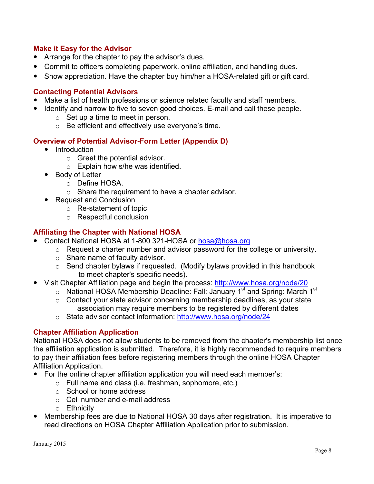## **Make it Easy for the Advisor**

- Arrange for the chapter to pay the advisor's dues.
- Commit to officers completing paperwork. online affiliation, and handling dues.
- Show appreciation. Have the chapter buy him/her a HOSA-related gift or gift card.

## **Contacting Potential Advisors**

- Make a list of health professions or science related faculty and staff members.
- Identify and narrow to five to seven good choices. E-mail and call these people.
	- $\circ$  Set up a time to meet in person.
	- o Be efficient and effectively use everyone's time.

## **Overview of Potential Advisor-Form Letter (Appendix D)**

- Introduction
	- o Greet the potential advisor.
		- o Explain how s/he was identified.
- Body of Letter
	- o Define HOSA.
	- $\circ$  Share the requirement to have a chapter advisor.
- Request and Conclusion
	- o Re-statement of topic
	- o Respectful conclusion

## **Affiliating the Chapter with National HOSA**

- Contact National HOSA at 1-800 321-HOSA or hosa@hosa.org
	- o Request a charter number and advisor password for the college or university.
	- o Share name of faculty advisor.
	- $\circ$  Send chapter bylaws if requested. (Modify bylaws provided in this handbook to meet chapter's specific needs).
- Visit Chapter Affiliation page and begin the process: http://www.hosa.org/node/20
	- $\circ$  National HOSA Membership Deadline: Fall: January 1<sup>st</sup> and Spring: March 1<sup>st</sup>
	- o Contact your state advisor concerning membership deadlines, as your state association may require members to be registered by different dates
	- o State advisor contact information: http://www.hosa.org/node/24

## **Chapter Affiliation Application**

National HOSA does not allow students to be removed from the chapter's membership list once the affiliation application is submitted. Therefore, it is highly recommended to require members to pay their affiliation fees before registering members through the online HOSA Chapter Affiliation Application.

- For the online chapter affiliation application you will need each member's:
	- o Full name and class (i.e. freshman, sophomore, etc.)
	- o School or home address
	- o Cell number and e-mail address
	- o Ethnicity
- Membership fees are due to National HOSA 30 days after registration. It is imperative to read directions on HOSA Chapter Affiliation Application prior to submission.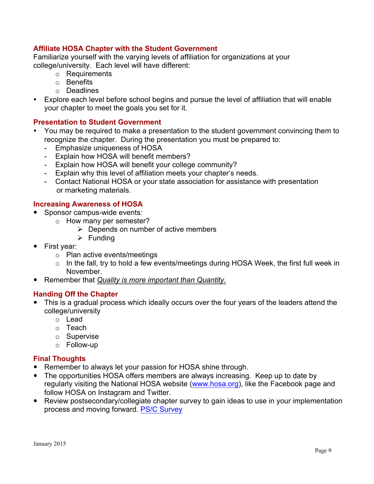## **Affiliate HOSA Chapter with the Student Government**

Familiarize yourself with the varying levels of affiliation for organizations at your college/university. Each level will have different:

- o Requirements
- o Benefits
- o Deadlines
- Explore each level before school begins and pursue the level of affiliation that will enable your chapter to meet the goals you set for it.

## **Presentation to Student Government**

- You may be required to make a presentation to the student government convincing them to recognize the chapter. During the presentation you must be prepared to:
	- Emphasize uniqueness of HOSA
	- Explain how HOSA will benefit members?
	- Explain how HOSA will benefit your college community?
	- Explain why this level of affiliation meets your chapter's needs.
	- Contact National HOSA or your state association for assistance with presentation or marketing materials.

## **Increasing Awareness of HOSA**

- Sponsor campus-wide events:
	- o How many per semester?
		- $\triangleright$  Depends on number of active members
		- $\triangleright$  Funding
- First year:
	- o Plan active events/meetings
	- o In the fall, try to hold a few events/meetings during HOSA Week, the first full week in November.
- Remember that *Quality is more important than Quantity*.

## **Handing Off the Chapter**

- This is a gradual process which ideally occurs over the four years of the leaders attend the college/university
	- o Lead
	- o Teach
	- o Supervise
	- o Follow-up

## **Final Thoughts**

- Remember to always let your passion for HOSA shine through.
- The opportunities HOSA offers members are always increasing. Keep up to date by regularly visiting the National HOSA website (www.hosa.org), like the Facebook page and follow HOSA on Instagram and Twitter.
- Review postsecondary/collegiate chapter survey to gain ideas to use in your implementation process and moving forward. [PS/C Survey](http://www.hosa.org/sites/default/files/PS-Collegiate Chapter Survey.pdf)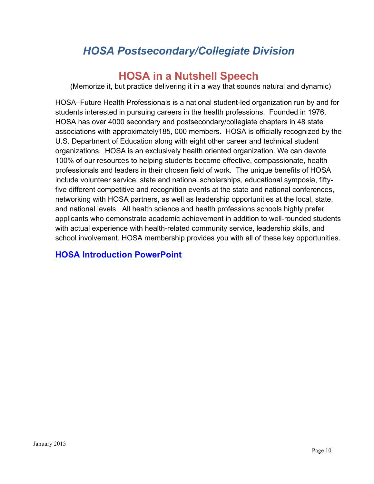# *HOSA Postsecondary/Collegiate Division*

# **HOSA in a Nutshell Speech**

(Memorize it, but practice delivering it in a way that sounds natural and dynamic)

HOSA–Future Health Professionals is a national student-led organization run by and for students interested in pursuing careers in the health professions. Founded in 1976, HOSA has over 4000 secondary and postsecondary/collegiate chapters in 48 state associations with approximately185, 000 members. HOSA is officially recognized by the U.S. Department of Education along with eight other career and technical student organizations. HOSA is an exclusively health oriented organization. We can devote 100% of our resources to helping students become effective, compassionate, health professionals and leaders in their chosen field of work. The unique benefits of HOSA include volunteer service, state and national scholarships, educational symposia, fiftyfive different competitive and recognition events at the state and national conferences, networking with HOSA partners, as well as leadership opportunities at the local, state, and national levels. All health science and health professions schools highly prefer applicants who demonstrate academic achievement in addition to well-rounded students with actual experience with health-related community service, leadership skills, and school involvement. HOSA membership provides you with all of these key opportunities.

## **[HOSA Introduction PowerPoint](http://www.hosa.org/sites/default/files/HOSA Intro Dec 2014.pptx)**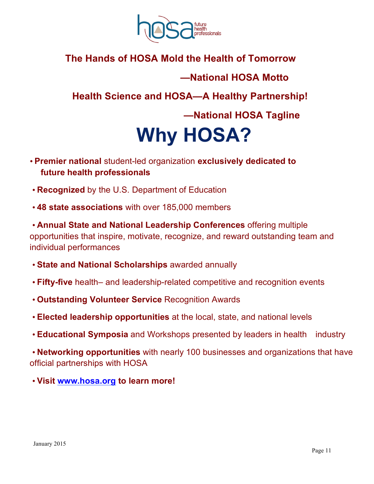

# **The Hands of HOSA Mold the Health of Tomorrow**

## **—National HOSA Motto**

 **Health Science and HOSA—A Healthy Partnership!**

 **—National HOSA Tagline**

# **Why HOSA?**

- **Premier national** student-led organization **exclusively dedicated to future health professionals**
- **Recognized** by the U.S. Department of Education
- **48 state associations** with over 185,000 members

• **Annual State and National Leadership Conferences** offering multiple opportunities that inspire, motivate, recognize, and reward outstanding team and individual performances

- **State and National Scholarships** awarded annually
- **Fifty-five** health– and leadership-related competitive and recognition events
- **Outstanding Volunteer Service** Recognition Awards
- **Elected leadership opportunities** at the local, state, and national levels
- **Educational Symposia** and Workshops presented by leaders in health industry

• **Networking opportunities** with nearly 100 businesses and organizations that have official partnerships with HOSA

• **Visit www.hosa.org to learn more!**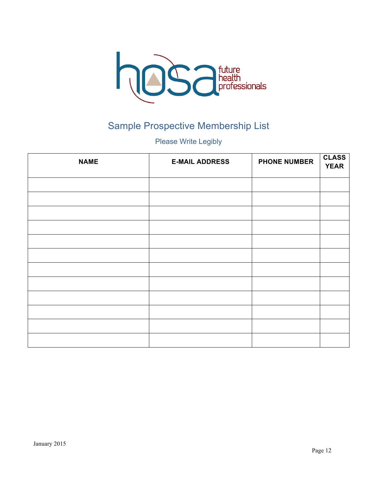

# Sample Prospective Membership List

Please Write Legibly

| <b>NAME</b> | <b>E-MAIL ADDRESS</b> | <b>PHONE NUMBER</b> | <b>CLASS</b><br><b>YEAR</b> |
|-------------|-----------------------|---------------------|-----------------------------|
|             |                       |                     |                             |
|             |                       |                     |                             |
|             |                       |                     |                             |
|             |                       |                     |                             |
|             |                       |                     |                             |
|             |                       |                     |                             |
|             |                       |                     |                             |
|             |                       |                     |                             |
|             |                       |                     |                             |
|             |                       |                     |                             |
|             |                       |                     |                             |
|             |                       |                     |                             |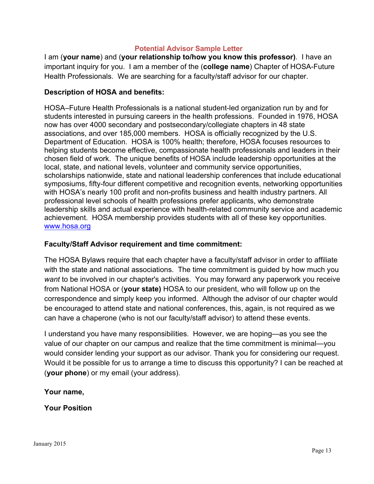## **Potential Advisor Sample Letter**

I am (**your name**) and (**your relationship to/how you know this professor)**. I have an important inquiry for you. I am a member of the (**college name**) Chapter of HOSA-Future Health Professionals. We are searching for a faculty/staff advisor for our chapter.

## **Description of HOSA and benefits:**

HOSA–Future Health Professionals is a national student-led organization run by and for students interested in pursuing careers in the health professions. Founded in 1976, HOSA now has over 4000 secondary and postsecondary/collegiate chapters in 48 state associations, and over 185,000 members. HOSA is officially recognized by the U.S. Department of Education. HOSA is 100% health; therefore, HOSA focuses resources to helping students become effective, compassionate health professionals and leaders in their chosen field of work. The unique benefits of HOSA include leadership opportunities at the local, state, and national levels, volunteer and community service opportunities, scholarships nationwide, state and national leadership conferences that include educational symposiums, fifty-four different competitive and recognition events, networking opportunities with HOSA's nearly 100 profit and non-profits business and health industry partners. All professional level schools of health professions prefer applicants, who demonstrate leadership skills and actual experience with health-related community service and academic achievement. HOSA membership provides students with all of these key opportunities. www.hosa.org

## **Faculty/Staff Advisor requirement and time commitment:**

The HOSA Bylaws require that each chapter have a faculty/staff advisor in order to affiliate with the state and national associations. The time commitment is guided by how much you *want* to be involved in our chapter's activities. You may forward any paperwork you receive from National HOSA or (**your state)** HOSA to our president, who will follow up on the correspondence and simply keep you informed. Although the advisor of our chapter would be encouraged to attend state and national conferences, this, again, is not required as we can have a chaperone (who is not our faculty/staff advisor) to attend these events.

I understand you have many responsibilities. However, we are hoping—as you see the value of our chapter on our campus and realize that the time commitment is minimal—you would consider lending your support as our advisor. Thank you for considering our request. Would it be possible for us to arrange a time to discuss this opportunity? I can be reached at (**your phone**) or my email (your address).

## **Your name,**

## **Your Position**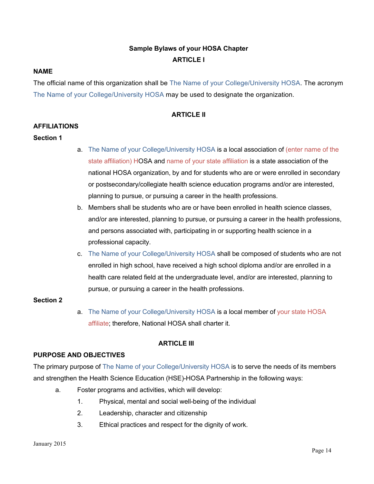## **Sample Bylaws of your HOSA Chapter ARTICLE I**

## **NAME**

The official name of this organization shall be The Name of your College/University HOSA. The acronym The Name of your College/University HOSA may be used to designate the organization.

## **ARTICLE II**

## **AFFILIATIONS**

## **Section 1**

- a. The Name of your College/University HOSA is a local association of (enter name of the state affiliation) HOSA and name of your state affiliation is a state association of the national HOSA organization, by and for students who are or were enrolled in secondary or postsecondary/collegiate health science education programs and/or are interested, planning to pursue, or pursuing a career in the health professions.
- b. Members shall be students who are or have been enrolled in health science classes, and/or are interested, planning to pursue, or pursuing a career in the health professions, and persons associated with, participating in or supporting health science in a professional capacity.
- c. The Name of your College/University HOSA shall be composed of students who are not enrolled in high school, have received a high school diploma and/or are enrolled in a health care related field at the undergraduate level, and/or are interested, planning to pursue, or pursuing a career in the health professions.

## **Section 2**

a. The Name of your College/University HOSA is a local member of your state HOSA affiliate; therefore, National HOSA shall charter it.

## **ARTICLE III**

## **PURPOSE AND OBJECTIVES**

The primary purpose of The Name of your College/University HOSA is to serve the needs of its members and strengthen the Health Science Education (HSE)-HOSA Partnership in the following ways:

- a. Foster programs and activities, which will develop:
	- 1. Physical, mental and social well-being of the individual
	- 2. Leadership, character and citizenship
	- 3. Ethical practices and respect for the dignity of work.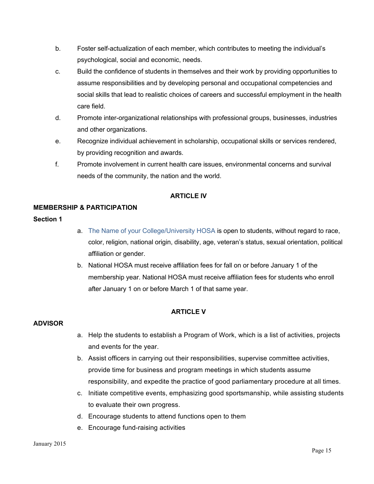- b. Foster self-actualization of each member, which contributes to meeting the individual's psychological, social and economic, needs.
- c. Build the confidence of students in themselves and their work by providing opportunities to assume responsibilities and by developing personal and occupational competencies and social skills that lead to realistic choices of careers and successful employment in the health care field.
- d. Promote inter-organizational relationships with professional groups, businesses, industries and other organizations.
- e. Recognize individual achievement in scholarship, occupational skills or services rendered, by providing recognition and awards.
- f. Promote involvement in current health care issues, environmental concerns and survival needs of the community, the nation and the world.

## **ARTICLE IV**

## **MEMBERSHIP & PARTICIPATION**

## **Section 1**

- a. The Name of your College/University HOSA is open to students, without regard to race, color, religion, national origin, disability, age, veteran's status, sexual orientation, political affiliation or gender.
- b. National HOSA must receive affiliation fees for fall on or before January 1 of the membership year. National HOSA must receive affiliation fees for students who enroll after January 1 on or before March 1 of that same year.

## **ARTICLE V**

## **ADVISOR**

- a. Help the students to establish a Program of Work, which is a list of activities, projects and events for the year.
- b. Assist officers in carrying out their responsibilities, supervise committee activities, provide time for business and program meetings in which students assume responsibility, and expedite the practice of good parliamentary procedure at all times.
- c. Initiate competitive events, emphasizing good sportsmanship, while assisting students to evaluate their own progress.
- d. Encourage students to attend functions open to them
- e. Encourage fund-raising activities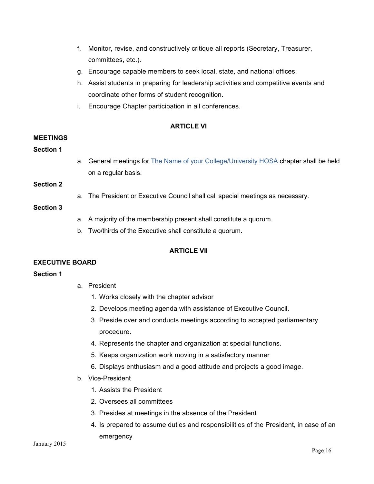- f. Monitor, revise, and constructively critique all reports (Secretary, Treasurer, committees, etc.).
- g. Encourage capable members to seek local, state, and national offices.
- h. Assist students in preparing for leadership activities and competitive events and coordinate other forms of student recognition.
- i. Encourage Chapter participation in all conferences.

## **ARTICLE VI**

## **MEETINGS**

## **Section 1**

a. General meetings for The Name of your College/University HOSA chapter shall be held on a regular basis.

#### **Section 2**

a. The President or Executive Council shall call special meetings as necessary.

## **Section 3**

- a. A majority of the membership present shall constitute a quorum.
- b. Two/thirds of the Executive shall constitute a quorum.

## **ARTICI F VII**

## **EXECUTIVE BOARD**

## **Section 1**

- a. President
	- 1. Works closely with the chapter advisor
	- 2. Develops meeting agenda with assistance of Executive Council.
	- 3. Preside over and conducts meetings according to accepted parliamentary procedure.
	- 4. Represents the chapter and organization at special functions.
	- 5. Keeps organization work moving in a satisfactory manner
	- 6. Displays enthusiasm and a good attitude and projects a good image.
- b. Vice-President
	- 1. Assists the President
	- 2. Oversees all committees
	- 3. Presides at meetings in the absence of the President
	- 4. Is prepared to assume duties and responsibilities of the President, in case of an emergency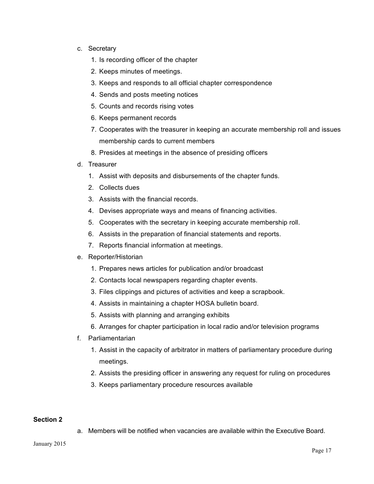- c. Secretary
	- 1. Is recording officer of the chapter
	- 2. Keeps minutes of meetings.
	- 3. Keeps and responds to all official chapter correspondence
	- 4. Sends and posts meeting notices
	- 5. Counts and records rising votes
	- 6. Keeps permanent records
	- 7. Cooperates with the treasurer in keeping an accurate membership roll and issues membership cards to current members
	- 8. Presides at meetings in the absence of presiding officers
- d. Treasurer
	- 1. Assist with deposits and disbursements of the chapter funds.
	- 2. Collects dues
	- 3. Assists with the financial records.
	- 4. Devises appropriate ways and means of financing activities.
	- 5. Cooperates with the secretary in keeping accurate membership roll.
	- 6. Assists in the preparation of financial statements and reports.
	- 7. Reports financial information at meetings.
- e. Reporter/Historian
	- 1. Prepares news articles for publication and/or broadcast
	- 2. Contacts local newspapers regarding chapter events.
	- 3. Files clippings and pictures of activities and keep a scrapbook.
	- 4. Assists in maintaining a chapter HOSA bulletin board.
	- 5. Assists with planning and arranging exhibits
	- 6. Arranges for chapter participation in local radio and/or television programs
- f. Parliamentarian
	- 1. Assist in the capacity of arbitrator in matters of parliamentary procedure during meetings.
	- 2. Assists the presiding officer in answering any request for ruling on procedures
	- 3. Keeps parliamentary procedure resources available

## **Section 2**

a. Members will be notified when vacancies are available within the Executive Board.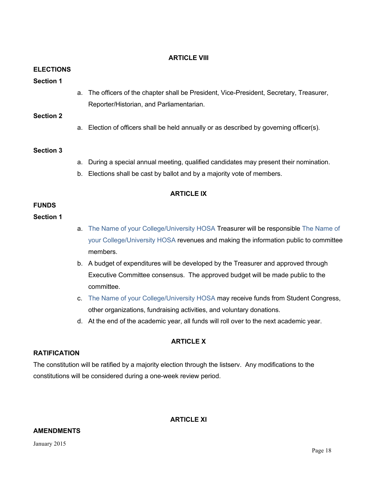## **ARTICLE VIII**

## **ELECTIONS**

## **Section 1**

a. The officers of the chapter shall be President, Vice-President, Secretary, Treasurer, Reporter/Historian, and Parliamentarian.

## **Section 2**

a. Election of officers shall be held annually or as described by governing officer(s).

## **Section 3**

- a. During a special annual meeting, qualified candidates may present their nomination.
- b. Elections shall be cast by ballot and by a majority vote of members.

## **ARTICLE IX**

## **FUNDS**

## **Section 1**

- a. The Name of your College/University HOSA Treasurer will be responsible The Name of your College/University HOSA revenues and making the information public to committee members.
- b. A budget of expenditures will be developed by the Treasurer and approved through Executive Committee consensus. The approved budget will be made public to the committee.
- c. The Name of your College/University HOSA may receive funds from Student Congress, other organizations, fundraising activities, and voluntary donations.
- d. At the end of the academic year, all funds will roll over to the next academic year.

## **ARTICLE X**

## **RATIFICATION**

The constitution will be ratified by a majority election through the listserv. Any modifications to the constitutions will be considered during a one-week review period.

**ARTICLE XI**

## **AMENDMENTS**

January 2015